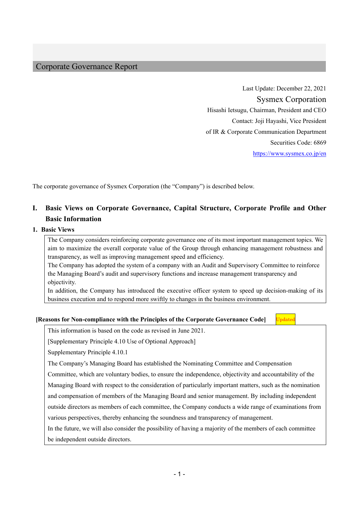### Corporate Governance Report

Last Update: December 22, 2021 Sysmex Corporation Hisashi Ietsugu, Chairman, President and CEO Contact: Joji Hayashi, Vice President of IR & Corporate Communication Department Securities Code: 6869 https://www.sysmex.co.jp/en

The corporate governance of Sysmex Corporation (the "Company") is described below.

## **I. Basic Views on Corporate Governance, Capital Structure, Corporate Profile and Other Basic Information**

#### **1. Basic Views**

The Company considers reinforcing corporate governance one of its most important management topics. We aim to maximize the overall corporate value of the Group through enhancing management robustness and transparency, as well as improving management speed and efficiency.

The Company has adopted the system of a company with an Audit and Supervisory Committee to reinforce the Managing Board's audit and supervisory functions and increase management transparency and objectivity.

In addition, the Company has introduced the executive officer system to speed up decision-making of its business execution and to respond more swiftly to changes in the business environment.

#### **[Reasons for Non-compliance with the Principles of the Corporate Governance Code]**

**Jpdated** 

This information is based on the code as revised in June 2021.

[Supplementary Principle 4.10 Use of Optional Approach]

Supplementary Principle 4.10.1

The Company's Managing Board has established the Nominating Committee and Compensation

Committee, which are voluntary bodies, to ensure the independence, objectivity and accountability of the

Managing Board with respect to the consideration of particularly important matters, such as the nomination

and compensation of members of the Managing Board and senior management. By including independent

outside directors as members of each committee, the Company conducts a wide range of examinations from

various perspectives, thereby enhancing the soundness and transparency of management.

In the future, we will also consider the possibility of having a majority of the members of each committee

be independent outside directors.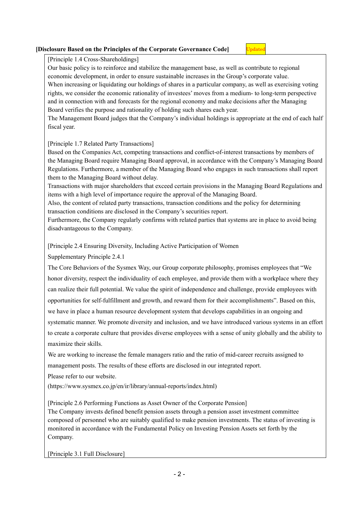#### **[Disclosure Based on the Principles of the Corporate Governance Code]**

Jpdated

[Principle 1.4 Cross-Shareholdings]

Our basic policy is to reinforce and stabilize the management base, as well as contribute to regional economic development, in order to ensure sustainable increases in the Group's corporate value. When increasing or liquidating our holdings of shares in a particular company, as well as exercising voting rights, we consider the economic rationality of investees' moves from a medium- to long-term perspective and in connection with and forecasts for the regional economy and make decisions after the Managing Board verifies the purpose and rationality of holding such shares each year.

The Management Board judges that the Company's individual holdings is appropriate at the end of each half fiscal year.

#### [Principle 1.7 Related Party Transactions]

Based on the Companies Act, competing transactions and conflict-of-interest transactions by members of the Managing Board require Managing Board approval, in accordance with the Company's Managing Board Regulations. Furthermore, a member of the Managing Board who engages in such transactions shall report them to the Managing Board without delay.

Transactions with major shareholders that exceed certain provisions in the Managing Board Regulations and items with a high level of importance require the approval of the Managing Board.

Also, the content of related party transactions, transaction conditions and the policy for determining transaction conditions are disclosed in the Company's securities report.

Furthermore, the Company regularly confirms with related parties that systems are in place to avoid being disadvantageous to the Company.

[Principle 2.4 Ensuring Diversity, Including Active Participation of Women

Supplementary Principle 2.4.1

The Core Behaviors of the Sysmex Way, our Group corporate philosophy, promises employees that "We honor diversity, respect the individuality of each employee, and provide them with a workplace where they can realize their full potential. We value the spirit of independence and challenge, provide employees with opportunities for self-fulfillment and growth, and reward them for their accomplishments". Based on this, we have in place a human resource development system that develops capabilities in an ongoing and systematic manner. We promote diversity and inclusion, and we have introduced various systems in an effort to create a corporate culture that provides diverse employees with a sense of unity globally and the ability to maximize their skills.

We are working to increase the female managers ratio and the ratio of mid-career recruits assigned to management posts. The results of these efforts are disclosed in our integrated report.

Please refer to our website.

(https://www.sysmex.co.jp/en/ir/library/annual-reports/index.html)

[Principle 2.6 Performing Functions as Asset Owner of the Corporate Pension]

The Company invests defined benefit pension assets through a pension asset investment committee composed of personnel who are suitably qualified to make pension investments. The status of investing is monitored in accordance with the Fundamental Policy on Investing Pension Assets set forth by the Company.

[Principle 3.1 Full Disclosure]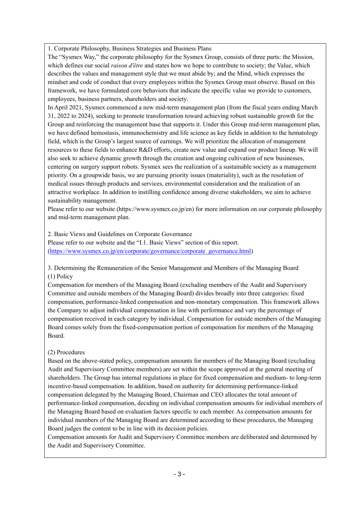1. Corporate Philosophy, Business Strategies and Business Plans

The "Sysmex Way," the corporate philosophy for the Sysmex Group, consists of three parts: the Mission, which defines our social *raison d'être* and states how we hope to contribute to society; the Value, which describes the values and management style that we must abide by; and the Mind, which expresses the mindset and code of conduct that every employees within the Sysmex Group must observe. Based on this framework, we have formulated core behaviors that indicate the specific value we provide to customers, employees, business partners, shareholders and society.

In April 2021, Sysmex commenced a new mid-term management plan (from the fiscal years ending March 31, 2022 to 2024), seeking to promote transformation toward achieving robust sustainable growth for the Group and reinforcing the management base that supports it. Under this Group mid-term management plan, we have defined hemostasis, immunochemistry and life science as key fields in addition to the hematology field, which is the Group's largest source of earnings. We will prioritize the allocation of management resources to these fields to enhance R&D efforts, create new value and expand our product lineup. We will also seek to achieve dynamic growth through the creation and ongoing cultivation of new businesses, centering on surgery support robots. Sysmex sees the realization of a sustainable society as a management priority. On a groupwide basis, we are pursuing priority issues (materiality), such as the resolution of medical issues through products and services, environmental consideration and the realization of an attractive workplace. In addition to instilling confidence among diverse stakeholders, we aim to achieve sustainability management.

Please refer to our website (https://www.sysmex.co.jp/en) for more information on our corporate philosophy and mid-term management plan.

2. Basic Views and Guidelines on Corporate Governance Please refer to our website and the "I.1. Basic Views" section of this report. (https://www.sysmex.co.jp/en/corporate/governance/corporate\_governance.html)

3. Determining the Remuneration of the Senior Management and Members of the Managing Board (1) Policy

Compensation for members of the Managing Board (excluding members of the Audit and Supervisory Committee and outside members of the Managing Board) divides broadly into three categories: fixed compensation, performance-linked compensation and non-monetary compensation. This framework allows the Company to adjust individual compensation in line with performance and vary the percentage of compensation received in each category by individual. Compensation for outside members of the Managing Board comes solely from the fixed-compensation portion of compensation for members of the Managing Board.

#### (2) Procedures

Based on the above-stated policy, compensation amounts for members of the Managing Board (excluding Audit and Supervisory Committee members) are set within the scope approved at the general meeting of shareholders. The Group has internal regulations in place for fixed compensation and medium- to long-term incentive-based compensation. In addition, based on authority for determining performance-linked compensation delegated by the Managing Board, Chairman and CEO allocates the total amount of performance-linked compensation, deciding on individual compensation amounts for individual members of the Managing Board based on evaluation factors specific to each member. As compensation amounts for individual members of the Managing Board are determined according to these procedures, the Managing Board judges the content to be in line with its decision policies.

Compensation amounts for Audit and Supervisory Committee members are deliberated and determined by the Audit and Supervisory Committee.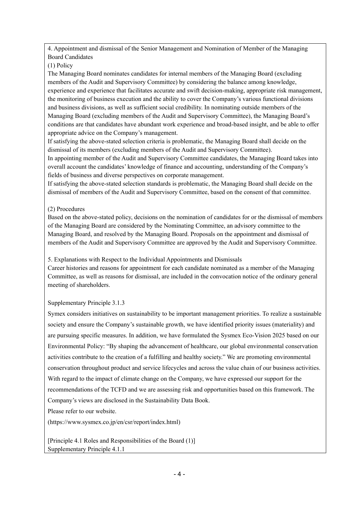4. Appointment and dismissal of the Senior Management and Nomination of Member of the Managing Board Candidates

#### (1) Policy

The Managing Board nominates candidates for internal members of the Managing Board (excluding members of the Audit and Supervisory Committee) by considering the balance among knowledge, experience and experience that facilitates accurate and swift decision-making, appropriate risk management, the monitoring of business execution and the ability to cover the Company's various functional divisions and business divisions, as well as sufficient social credibility. In nominating outside members of the Managing Board (excluding members of the Audit and Supervisory Committee), the Managing Board's conditions are that candidates have abundant work experience and broad-based insight, and be able to offer appropriate advice on the Company's management.

If satisfying the above-stated selection criteria is problematic, the Managing Board shall decide on the dismissal of its members (excluding members of the Audit and Supervisory Committee).

In appointing member of the Audit and Supervisory Committee candidates, the Managing Board takes into overall account the candidates' knowledge of finance and accounting, understanding of the Company's fields of business and diverse perspectives on corporate management.

If satisfying the above-stated selection standards is problematic, the Managing Board shall decide on the dismissal of members of the Audit and Supervisory Committee, based on the consent of that committee.

### (2) Procedures

Based on the above-stated policy, decisions on the nomination of candidates for or the dismissal of members of the Managing Board are considered by the Nominating Committee, an advisory committee to the Managing Board, and resolved by the Managing Board. Proposals on the appointment and dismissal of members of the Audit and Supervisory Committee are approved by the Audit and Supervisory Committee.

5. Explanations with Respect to the Individual Appointments and Dismissals

Career histories and reasons for appointment for each candidate nominated as a member of the Managing Committee, as well as reasons for dismissal, are included in the convocation notice of the ordinary general meeting of shareholders.

### Supplementary Principle 3.1.3

Symex considers initiatives on sustainability to be important management priorities. To realize a sustainable society and ensure the Company's sustainable growth, we have identified priority issues (materiality) and are pursuing specific measures. In addition, we have formulated the Sysmex Eco-Vision 2025 based on our Environmental Policy: "By shaping the advancement of healthcare, our global environmental conservation activities contribute to the creation of a fulfilling and healthy society." We are promoting environmental conservation throughout product and service lifecycles and across the value chain of our business activities. With regard to the impact of climate change on the Company, we have expressed our support for the recommendations of the TCFD and we are assessing risk and opportunities based on this framework. The Company's views are disclosed in the Sustainability Data Book.

Please refer to our website.

(https://www.sysmex.co.jp/en/csr/report/index.html)

[Principle 4.1 Roles and Responsibilities of the Board (1)] Supplementary Principle 4.1.1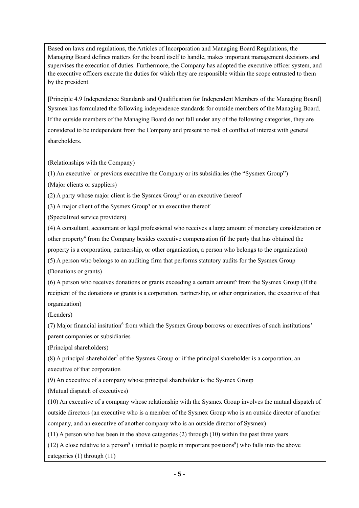Based on laws and regulations, the Articles of Incorporation and Managing Board Regulations, the Managing Board defines matters for the board itself to handle, makes important management decisions and supervises the execution of duties. Furthermore, the Company has adopted the executive officer system, and the executive officers execute the duties for which they are responsible within the scope entrusted to them by the president.

[Principle 4.9 Independence Standards and Qualification for Independent Members of the Managing Board] Sysmex has formulated the following independence standards for outside members of the Managing Board. If the outside members of the Managing Board do not fall under any of the following categories, they are considered to be independent from the Company and present no risk of conflict of interest with general shareholders.

(Relationships with the Company)

(1) An executive<sup>1</sup> or previous executive the Company or its subsidiaries (the "Sysmex Group")

(Major clients or suppliers)

(2) A party whose major client is the Sysmex Group<sup>2</sup> or an executive thereof

 $(3)$  A major client of the Sysmex Group<sup>3</sup> or an executive thereof

(Specialized service providers)

(4) A consultant, accountant or legal professional who receives a large amount of monetary consideration or other property<sup>4</sup> from the Company besides executive compensation (if the party that has obtained the property is a corporation, partnership, or other organization, a person who belongs to the organization) (5) A person who belongs to an auditing firm that performs statutory audits for the Sysmex Group (Donations or grants)

(6) A person who receives donations or grants exceeding a certain amount⁵ from the Sysmex Group (If the recipient of the donations or grants is a corporation, partnership, or other organization, the executive of that organization)

(Lenders)

(7) Major financial insitution<sup>6</sup> from which the Sysmex Group borrows or executives of such institutions' parent companies or subsidiaries

(Principal shareholders)

 $(8)$  A principal shareholder<sup>7</sup> of the Sysmex Group or if the principal shareholder is a corporation, an executive of that corporation

(9) An executive of a company whose principal shareholder is the Sysmex Group

(Mutual dispatch of executives)

(10) An executive of a company whose relationship with the Sysmex Group involves the mutual dispatch of outside directors (an executive who is a member of the Sysmex Group who is an outside director of another company, and an executive of another company who is an outside director of Sysmex)

(11) A person who has been in the above categories (2) through (10) within the past three years

 $(12)$  A close relative to a person<sup>8</sup> (limited to people in important positions<sup>9</sup>) who falls into the above categories (1) through (11)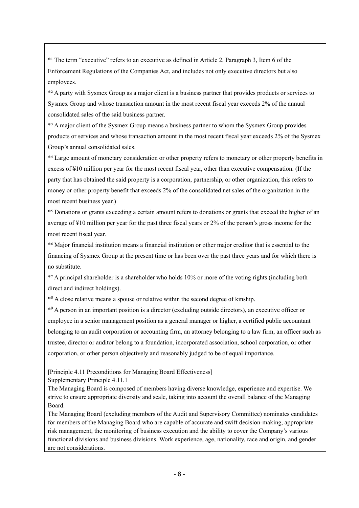\*¹ The term "executive" refers to an executive as defined in Article 2, Paragraph 3, Item 6 of the Enforcement Regulations of the Companies Act, and includes not only executive directors but also employees.

\*² A party with Sysmex Group as a major client is a business partner that provides products or services to Sysmex Group and whose transaction amount in the most recent fiscal year exceeds 2% of the annual consolidated sales of the said business partner.

\*³ A major client of the Sysmex Group means a business partner to whom the Sysmex Group provides products or services and whose transaction amount in the most recent fiscal year exceeds 2% of the Sysmex Group's annual consolidated sales.

\*⁴ Large amount of monetary consideration or other property refers to monetary or other property benefits in excess of ¥10 million per year for the most recent fiscal year, other than executive compensation. (If the party that has obtained the said property is a corporation, partnership, or other organization, this refers to money or other property benefit that exceeds 2% of the consolidated net sales of the organization in the most recent business year.)

\*⁵ Donations or grants exceeding a certain amount refers to donations or grants that exceed the higher of an average of ¥10 million per year for the past three fiscal years or 2% of the person's gross income for the most recent fiscal year.

\*⁶ Major financial institution means a financial institution or other major creditor that is essential to the financing of Sysmex Group at the present time or has been over the past three years and for which there is no substitute.

\*⁷ A principal shareholder is a shareholder who holds 10% or more of the voting rights (including both direct and indirect holdings).

\*<sup>8</sup> A close relative means a spouse or relative within the second degree of kinship.

\*9 A person in an important position is a director (excluding outside directors), an executive officer or employee in a senior management position as a general manager or higher, a certified public accountant belonging to an audit corporation or accounting firm, an attorney belonging to a law firm, an officer such as trustee, director or auditor belong to a foundation, incorporated association, school corporation, or other corporation, or other person objectively and reasonably judged to be of equal importance.

[Principle 4.11 Preconditions for Managing Board Effectiveness]

Supplementary Principle 4.11.1

The Managing Board is composed of members having diverse knowledge, experience and expertise. We strive to ensure appropriate diversity and scale, taking into account the overall balance of the Managing Board.

The Managing Board (excluding members of the Audit and Supervisory Committee) nominates candidates for members of the Managing Board who are capable of accurate and swift decision-making, appropriate risk management, the monitoring of business execution and the ability to cover the Company's various functional divisions and business divisions. Work experience, age, nationality, race and origin, and gender are not considerations.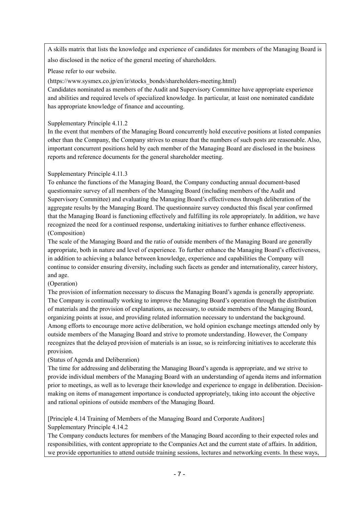A skills matrix that lists the knowledge and experience of candidates for members of the Managing Board is also disclosed in the notice of the general meeting of shareholders.

Please refer to our website.

(https://www.sysmex.co.jp/en/ir/stocks\_bonds/shareholders-meeting.html)

Candidates nominated as members of the Audit and Supervisory Committee have appropriate experience and abilities and required levels of specialized knowledge. In particular, at least one nominated candidate has appropriate knowledge of finance and accounting.

#### Supplementary Principle 4.11.2

In the event that members of the Managing Board concurrently hold executive positions at listed companies other than the Company, the Company strives to ensure that the numbers of such posts are reasonable. Also, important concurrent positions held by each member of the Managing Board are disclosed in the business reports and reference documents for the general shareholder meeting.

### Supplementary Principle 4.11.3

To enhance the functions of the Managing Board, the Company conducting annual document-based questionnaire survey of all members of the Managing Board (including members of the Audit and Supervisory Committee) and evaluating the Managing Board's effectiveness through deliberation of the aggregate results by the Managing Board. The questionnaire survey conducted this fiscal year confirmed that the Managing Board is functioning effectively and fulfilling its role appropriately. In addition, we have recognized the need for a continued response, undertaking initiatives to further enhance effectiveness. (Composition)

The scale of the Managing Board and the ratio of outside members of the Managing Board are generally appropriate, both in nature and level of experience. To further enhance the Managing Board's effectiveness, in addition to achieving a balance between knowledge, experience and capabilities the Company will continue to consider ensuring diversity, including such facets as gender and internationality, career history, and age.

#### (Operation)

The provision of information necessary to discuss the Managing Board's agenda is generally appropriate. The Company is continually working to improve the Managing Board's operation through the distribution of materials and the provision of explanations, as necessary, to outside members of the Managing Board, organizing points at issue, and providing related information necessary to understand the background. Among efforts to encourage more active deliberation, we hold opinion exchange meetings attended only by outside members of the Managing Board and strive to promote understanding. However, the Company recognizes that the delayed provision of materials is an issue, so is reinforcing initiatives to accelerate this provision.

#### (Status of Agenda and Deliberation)

The time for addressing and deliberating the Managing Board's agenda is appropriate, and we strive to provide individual members of the Managing Board with an understanding of agenda items and information prior to meetings, as well as to leverage their knowledge and experience to engage in deliberation. Decisionmaking on items of management importance is conducted appropriately, taking into account the objective and rational opinions of outside members of the Managing Board.

[Principle 4.14 Training of Members of the Managing Board and Corporate Auditors] Supplementary Principle 4.14.2

The Company conducts lectures for members of the Managing Board according to their expected roles and responsibilities, with content appropriate to the Companies Act and the current state of affairs. In addition, we provide opportunities to attend outside training sessions, lectures and networking events. In these ways,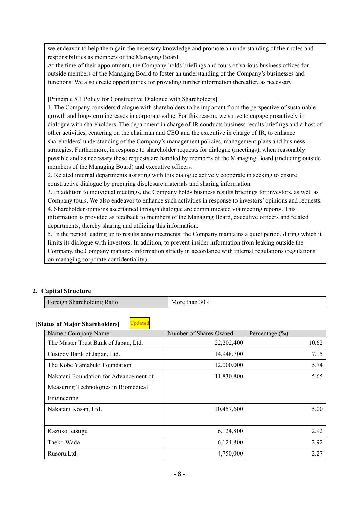we endeavor to help them gain the necessary knowledge and promote an understanding of their roles and responsibilities as members of the Managing Board.

At the time of their appointment, the Company holds briefings and tours of various business offices for outside members of the Managing Board to foster an understanding of the Company's businesses and functions. We also create opportunities for providing further information thereafter, as necessary.

[Principle 5.1 Policy for Constructive Dialogue with Shareholders]

1. The Company considers dialogue with shareholders to be important from the perspective of sustainable growth and long-term increases in corporate value. For this reason, we strive to engage proactively in dialogue with shareholders. The department in charge of IR conducts business results briefings and a host of other activities, centering on the chairman and CEO and the executive in charge of IR, to enhance shareholders' understanding of the Company's management policies, management plans and business strategies. Furthermore, in response to shareholder requests for dialogue (meetings), when reasonably possible and as necessary these requests are handled by members of the Managing Board (including outside members of the Managing Board) and executive officers.

2. Related internal departments assisting with this dialogue actively cooperate in seeking to ensure constructive dialogue by preparing disclosure materials and sharing information.

3. In addition to individual meetings, the Company holds business results briefings for investors, as well as Company tours. We also endeavor to enhance such activities in response to investors' opinions and requests. 4. Shareholder opinions ascertained through dialogue are communicated via meeting reports. This information is provided as feedback to members of the Managing Board, executive officers and related departments, thereby sharing and utilizing this information.

5. In the period leading up to results announcements, the Company maintains a quiet period, during which it limits its dialogue with investors. In addition, to prevent insider information from leaking outside the Company, the Company manages information strictly in accordance with internal regulations (regulations on managing corporate confidentiality).

### **2. Capital Structure**

| Foreign Shareholding Ratio | More than $30\%$ |
|----------------------------|------------------|
|----------------------------|------------------|

#### **[Status of Major Shareholders]** Updated

| Name / Company Name                    | Number of Shares Owned | Percentage $(\% )$ |
|----------------------------------------|------------------------|--------------------|
| The Master Trust Bank of Japan, Ltd.   | 22,202,400             | 10.62              |
| Custody Bank of Japan, Ltd.            | 14,948,700             | 7.15               |
| The Kobe Yamabuki Foundation           | 12,000,000             | 5.74               |
| Nakatani Foundation for Advancement of | 11,830,800             | 5.65               |
| Measuring Technologies in Biomedical   |                        |                    |
| Engineering                            |                        |                    |
| Nakatani Kosan, Ltd.                   | 10,457,600             | 5.00               |
|                                        |                        |                    |
| Kazuko Ietsugu                         | 6,124,800              | 2.92               |
| Taeko Wada                             | 6,124,800              | 2.92               |
| Rusoru.Ltd.                            | 4,750,000              | 2.27               |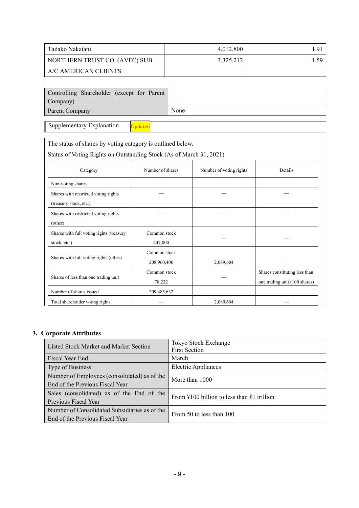| Tadako Nakatani               | 4,012,800 | 91، ، |
|-------------------------------|-----------|-------|
| NORTHERN TRUST CO. (AVFC) SUB | 3,325,212 | 1.59  |
| A/C AMERICAN CLIENTS          |           |       |

| Controlling Shareholder (except for Parent<br>Company) |      |
|--------------------------------------------------------|------|
| Parent Company                                         | None |

Supplementary Explanation

The status of shares by voting category is outlined below.

Status of Voting Rights on Outstanding Stock (As of March 31, 2021)

Updated

| Category                                 | Number of shares | Number of voting rights | Details                       |
|------------------------------------------|------------------|-------------------------|-------------------------------|
| Non-voting shares                        |                  |                         |                               |
| Shares with restricted voting rights     |                  |                         |                               |
| (treasury stock, etc.)                   |                  |                         |                               |
| Shares with restricted voting rights     |                  |                         |                               |
| (other)                                  |                  |                         |                               |
| Shares with full voting rights (treasury | Common stock     |                         |                               |
| stock, etc.)                             | 447,000          |                         |                               |
|                                          | Common stock     |                         |                               |
| Shares with full voting rights (other)   | 208,960,400      | 2,089,604               |                               |
|                                          | Common stock     |                         | Shares constituting less than |
| Shares of less than one trading unit     | 78,232           |                         | one trading unit (100 shares) |
| Number of shares issued                  | 209,485,632      |                         |                               |
| Total shareholder voting rights          |                  | 2,089,604               |                               |

### **3. Corporate Attributes**

| Listed Stock Market and Market Section                                           | Tokyo Stock Exchange<br><b>First Section</b>                   |  |  |
|----------------------------------------------------------------------------------|----------------------------------------------------------------|--|--|
| Fiscal Year-End                                                                  | March                                                          |  |  |
| Type of Business                                                                 | <b>Electric Appliances</b>                                     |  |  |
| Number of Employees (consolidated) as of the<br>End of the Previous Fiscal Year  | More than 1000                                                 |  |  |
| Sales (consolidated) as of the End of the<br>Previous Fiscal Year                | From $\text{\#}100$ billion to less than $\text{\#}1$ trillion |  |  |
| Number of Consolidated Subsidiaries as of the<br>End of the Previous Fiscal Year | From 50 to less than 100                                       |  |  |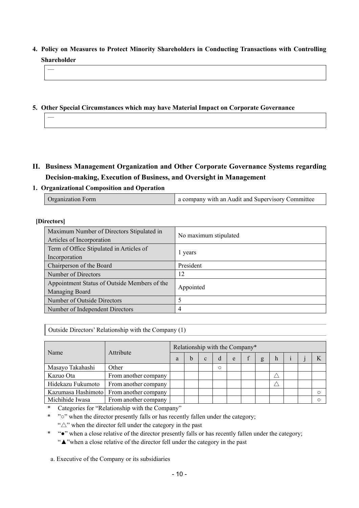- **4. Policy on Measures to Protect Minority Shareholders in Conducting Transactions with Controlling Shareholder**
- **5. Other Special Circumstances which may have Material Impact on Corporate Governance**

- **II. Business Management Organization and Other Corporate Governance Systems regarding Decision-making, Execution of Business, and Oversight in Management**
- **1. Organizational Composition and Operation**

| <b>Organization Form</b> | a company with an Audit and Supervisory Committee |
|--------------------------|---------------------------------------------------|
|                          |                                                   |

#### **[Directors]**

—

—

| Maximum Number of Directors Stipulated in<br>Articles of Incorporation | No maximum stipulated |
|------------------------------------------------------------------------|-----------------------|
| Term of Office Stipulated in Articles of<br>Incorporation              | 1 years               |
| Chairperson of the Board                                               | President             |
| Number of Directors                                                    | 12                    |
| Appointment Status of Outside Members of the<br>Managing Board         | Appointed             |
| Number of Outside Directors                                            |                       |
| Number of Independent Directors                                        |                       |

Outside Directors' Relationship with the Company (1)

| Name              | Attribute                               | Relationship with the Company* |  |  |         |   |  |  |   |  |  |
|-------------------|-----------------------------------------|--------------------------------|--|--|---------|---|--|--|---|--|--|
|                   |                                         | a                              |  |  | d       | e |  |  | h |  |  |
| Masayo Takahashi  | Other                                   |                                |  |  | $\circ$ |   |  |  |   |  |  |
| Kazuo Ota         | From another company                    |                                |  |  |         |   |  |  |   |  |  |
| Hidekazu Fukumoto | From another company                    |                                |  |  |         |   |  |  |   |  |  |
|                   | Kazumasa Hashimoto From another company |                                |  |  |         |   |  |  |   |  |  |
| Michihide Iwasa   | From another company                    |                                |  |  |         |   |  |  |   |  |  |

\* Categories for "Relationship with the Company"

\* "o" when the director presently falls or has recently fallen under the category; "△" when the director fell under the category in the past

- \* "●" when a close relative of the director presently falls or has recently fallen under the category;
- "▲"when a close relative of the director fell under the category in the past

a. Executive of the Company or its subsidiaries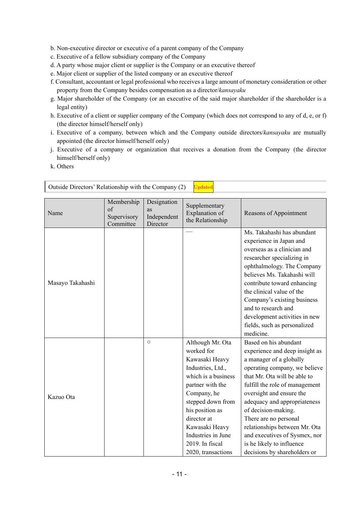b. Non-executive director or executive of a parent company of the Company

- c. Executive of a fellow subsidiary company of the Company
- d. A party whose major client or supplier is the Company or an executive thereof
- e. Major client or supplier of the listed company or an executive thereof
- f. Consultant, accountant or legal professional who receives a large amount of monetary consideration or other property from the Company besides compensation as a director/*kansayaku*
- g. Major shareholder of the Company (or an executive of the said major shareholder if the shareholder is a legal entity)
- h. Executive of a client or supplier company of the Company (which does not correspond to any of d, e, or f) (the director himself/herself only)
- i. Executive of a company, between which and the Company outside directors/*kansayaku* are mutually appointed (the director himself/herself only)
- j. Executive of a company or organization that receives a donation from the Company (the director himself/herself only)
- k. Others

| Name             | Membership<br>of<br>Supervisory<br>Committee | Designation<br>as<br>Independent<br>Director | Supplementary<br>Explanation of<br>the Relationship                                                                                                                                                                                                                     | Reasons of Appointment                                                                                                                                                                                                                                                                                                                                                                                                           |
|------------------|----------------------------------------------|----------------------------------------------|-------------------------------------------------------------------------------------------------------------------------------------------------------------------------------------------------------------------------------------------------------------------------|----------------------------------------------------------------------------------------------------------------------------------------------------------------------------------------------------------------------------------------------------------------------------------------------------------------------------------------------------------------------------------------------------------------------------------|
| Masayo Takahashi |                                              |                                              |                                                                                                                                                                                                                                                                         | Ms. Takahashi has abundant<br>experience in Japan and<br>overseas as a clinician and<br>researcher specializing in<br>ophthalmology. The Company<br>believes Ms. Takahashi will<br>contribute toward enhancing<br>the clinical value of the<br>Company's existing business<br>and to research and<br>development activities in new<br>fields, such as personalized<br>medicine.                                                  |
| Kazuo Ota        |                                              | $\circ$                                      | Although Mr. Ota<br>worked for<br>Kawasaki Heavy<br>Industries, Ltd.,<br>which is a business<br>partner with the<br>Company, he<br>stepped down from<br>his position as<br>director at<br>Kawasaki Heavy<br>Industries in June<br>2019. In fiscal<br>2020, transactions | Based on his abundant<br>experience and deep insight as<br>a manager of a globally<br>operating company, we believe<br>that Mr. Ota will be able to<br>fulfill the role of management<br>oversight and ensure the<br>adequacy and appropriateness<br>of decision-making.<br>There are no personal<br>relationships between Mr. Ota<br>and executives of Sysmex, nor<br>is he likely to influence<br>decisions by shareholders or |

Outside Directors' Relationship with the Company (2) Updated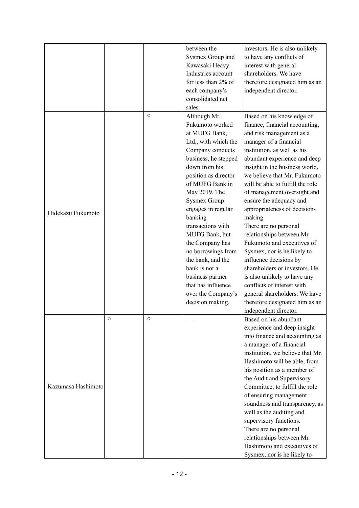|                    |         |         | between the          | investors. He is also unlikely                           |
|--------------------|---------|---------|----------------------|----------------------------------------------------------|
|                    |         |         | Sysmex Group and     | to have any conflicts of                                 |
|                    |         |         | Kawasaki Heavy       | interest with general                                    |
|                    |         |         | Industries account   | shareholders. We have                                    |
|                    |         |         | for less than 2% of  | therefore designated him as an                           |
|                    |         |         | each company's       | independent director.                                    |
|                    |         |         | consolidated net     |                                                          |
|                    |         |         |                      |                                                          |
|                    |         | $\circ$ | sales.               |                                                          |
|                    |         |         | Although Mr.         | Based on his knowledge of                                |
|                    |         |         | Fukumoto worked      | finance, financial accounting,                           |
|                    |         |         | at MUFG Bank,        | and risk management as a                                 |
|                    |         |         | Ltd., with which the | manager of a financial                                   |
|                    |         |         | Company conducts     | institution, as well as his                              |
|                    |         |         | business, he stepped | abundant experience and deep                             |
|                    |         |         | down from his        | insight in the business world,                           |
|                    |         |         | position as director | we believe that Mr. Fukumoto                             |
|                    |         |         | of MUFG Bank in      | will be able to fulfill the role                         |
|                    |         |         | May 2019. The        | of management oversight and                              |
|                    |         |         | <b>Sysmex Group</b>  | ensure the adequacy and                                  |
| Hidekazu Fukumoto  |         |         | engages in regular   | appropriateness of decision-                             |
|                    |         |         | banking              | making.                                                  |
|                    |         |         | transactions with    | There are no personal                                    |
|                    |         |         | MUFG Bank, but       | relationships between Mr.                                |
|                    |         |         | the Company has      | Fukumoto and executives of                               |
|                    |         |         | no borrowings from   | Sysmex, nor is he likely to                              |
|                    |         |         | the bank, and the    | influence decisions by                                   |
|                    |         |         | bank is not a        | shareholders or investors. He                            |
|                    |         |         | business partner     | is also unlikely to have any                             |
|                    |         |         | that has influence   | conflicts of interest with                               |
|                    |         |         | over the Company's   | general shareholders. We have                            |
|                    |         |         | decision making.     | therefore designated him as an                           |
|                    |         |         |                      | independent director.                                    |
|                    | $\circ$ | $\circ$ |                      | Based on his abundant                                    |
|                    |         |         |                      | experience and deep insight                              |
|                    |         |         |                      | into finance and accounting as                           |
|                    |         |         |                      | a manager of a financial                                 |
|                    |         |         |                      | institution, we believe that Mr.                         |
|                    |         |         |                      | Hashimoto will be able, from                             |
|                    |         |         |                      | his position as a member of                              |
|                    |         |         |                      | the Audit and Supervisory                                |
| Kazumasa Hashimoto |         |         |                      | Committee, to fulfill the role                           |
|                    |         |         |                      |                                                          |
|                    |         |         |                      | of ensuring management<br>soundness and transparency, as |
|                    |         |         |                      |                                                          |
|                    |         |         |                      | well as the auditing and                                 |
|                    |         |         |                      | supervisory functions.                                   |
|                    |         |         |                      | There are no personal                                    |
|                    |         |         |                      | relationships between Mr.                                |
|                    |         |         |                      | Hashimoto and executives of                              |
|                    |         |         |                      | Sysmex, nor is he likely to                              |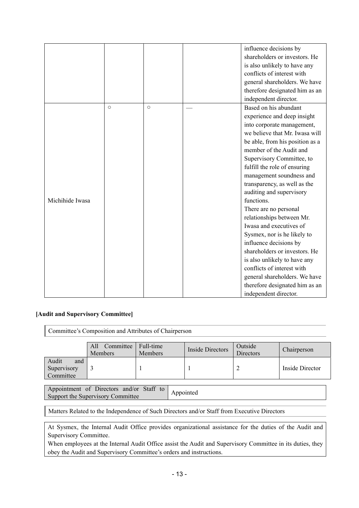|                 |            |         | influence decisions by          |
|-----------------|------------|---------|---------------------------------|
|                 |            |         | shareholders or investors. He   |
|                 |            |         | is also unlikely to have any    |
|                 |            |         | conflicts of interest with      |
|                 |            |         | general shareholders. We have   |
|                 |            |         | therefore designated him as an  |
|                 |            |         | independent director.           |
|                 | $\bigcirc$ | $\circ$ | Based on his abundant           |
|                 |            |         | experience and deep insight     |
|                 |            |         | into corporate management,      |
|                 |            |         | we believe that Mr. Iwasa will  |
|                 |            |         | be able, from his position as a |
|                 |            |         | member of the Audit and         |
|                 |            |         | Supervisory Committee, to       |
|                 |            |         | fulfill the role of ensuring    |
|                 |            |         | management soundness and        |
|                 |            |         | transparency, as well as the    |
|                 |            |         | auditing and supervisory        |
| Michihide Iwasa |            |         | functions.                      |
|                 |            |         | There are no personal           |
|                 |            |         | relationships between Mr.       |
|                 |            |         | Iwasa and executives of         |
|                 |            |         | Sysmex, nor is he likely to     |
|                 |            |         | influence decisions by          |
|                 |            |         | shareholders or investors. He   |
|                 |            |         | is also unlikely to have any    |
|                 |            |         | conflicts of interest with      |
|                 |            |         | general shareholders. We have   |
|                 |            |         | therefore designated him as an  |
|                 |            |         | independent director.           |

#### **[Audit and Supervisory Committee]**

Committee's Composition and Attributes of Chairperson

|                                          | Committee<br>All<br><b>Members</b> | Full-time<br><b>Members</b> | <b>Inside Directors</b> | Outside<br>Directors | Chairperson     |
|------------------------------------------|------------------------------------|-----------------------------|-------------------------|----------------------|-----------------|
| Audit<br>and<br>Supervisory<br>Committee |                                    |                             |                         |                      | Inside Director |

Appointment of Directors and/or Staff to Appointment of Directors and/or Staff to Appointed<br>Support the Supervisory Committee

Matters Related to the Independence of Such Directors and/or Staff from Executive Directors

At Sysmex, the Internal Audit Office provides organizational assistance for the duties of the Audit and Supervisory Committee.

When employees at the Internal Audit Office assist the Audit and Supervisory Committee in its duties, they obey the Audit and Supervisory Committee's orders and instructions.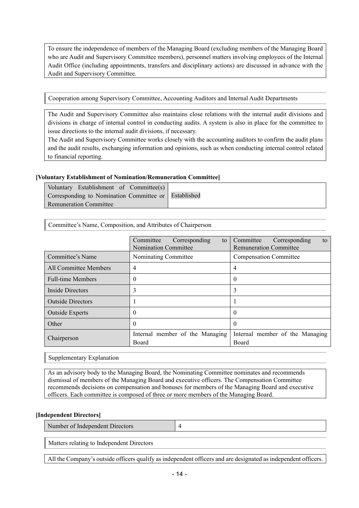To ensure the independence of members of the Managing Board (excluding members of the Managing Board who are Audit and Supervisory Committee members), personnel matters involving employees of the Internal Audit Office (including appointments, transfers and disciplinary actions) are discussed in advance with the Audit and Supervisory Committee.

Cooperation among Supervisory Committee, Accounting Auditors and Internal Audit Departments

The Audit and Supervisory Committee also maintains close relations with the internal audit divisions and divisions in charge of internal control in conducting audits. A system is also in place for the committee to issue directions to the internal audit divisions, if necessary.

The Audit and Supervisory Committee works closely with the accounting auditors to confirm the audit plans and the audit results, exchanging information and opinions, such as when conducting internal control related to financial reporting.

#### **[Voluntary Establishment of Nomination/Remuneration Committee]**

| Voluntary Establishment of Committee(s)              |  |
|------------------------------------------------------|--|
| Corresponding to Nomination Committee or Established |  |
| Remuneration Committee                               |  |

Committee's Name, Composition, and Attributes of Chairperson

|                          | Committee<br>Corresponding<br>to<br><b>Nomination Committee</b> | Committee<br>Corresponding<br>to<br><b>Remuneration Committee</b> |  |
|--------------------------|-----------------------------------------------------------------|-------------------------------------------------------------------|--|
| Committee's Name         | Nominating Committee                                            | <b>Compensation Committee</b>                                     |  |
| All Committee Members    | 4                                                               | 4                                                                 |  |
| <b>Full-time Members</b> | $\theta$                                                        | $\theta$                                                          |  |
| Inside Directors         | 3                                                               |                                                                   |  |
| <b>Outside Directors</b> |                                                                 |                                                                   |  |
| <b>Outside Experts</b>   | $\Omega$                                                        |                                                                   |  |
| Other                    | 0                                                               |                                                                   |  |
| Chairperson              | Internal member of the Managing<br>Board                        | Internal member of the Managing<br>Board                          |  |

Supplementary Explanation

As an advisory body to the Managing Board, the Nominating Committee nominates and recommends dismissal of members of the Managing Board and executive officers. The Compensation Committee recommends decisions on compensation and bonuses for members of the Managing Board and executive officers. Each committee is composed of three or more members of the Managing Board.

#### **[Independent Directors]**

Number of Independent Directors 4

Matters relating to Independent Directors

All the Company's outside officers qualify as independent officers and are designated as independent officers.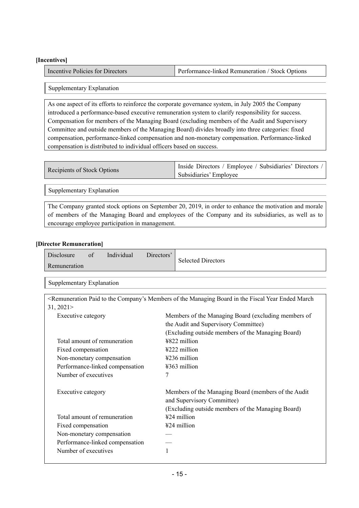#### **[Incentives]**

| Incentive Policies for Directors | <b>Performance-linked Remuneration / Stock Options</b> |
|----------------------------------|--------------------------------------------------------|
|----------------------------------|--------------------------------------------------------|

#### Supplementary Explanation

As one aspect of its efforts to reinforce the corporate governance system, in July 2005 the Company introduced a performance-based executive remuneration system to clarify responsibility for success. Compensation for members of the Managing Board (excluding members of the Audit and Supervisory Committee and outside members of the Managing Board) divides broadly into three categories: fixed compensation, performance-linked compensation and non-monetary compensation. Performance-linked compensation is distributed to individual officers based on success.

| Recipients of Stock Options | Inside Directors / Employee / Subsidiaries' Directors / |
|-----------------------------|---------------------------------------------------------|
|                             | Subsidiaries' Employee                                  |

Supplementary Explanation

The Company granted stock options on September 20, 2019, in order to enhance the motivation and morale of members of the Managing Board and employees of the Company and its subsidiaries, as well as to encourage employee participation in management.

#### **[Director Remuneration]**

| Disclosure   | Οİ | Individual | Directors' | <b>Selected Directors</b> |
|--------------|----|------------|------------|---------------------------|
| Remuneration |    |            |            |                           |

Supplementary Explanation

|                                 | <remuneration board="" company's="" ended="" fiscal="" in="" managing="" march<="" members="" of="" paid="" th="" the="" to="" year=""></remuneration> |
|---------------------------------|--------------------------------------------------------------------------------------------------------------------------------------------------------|
| 31,2021                         |                                                                                                                                                        |
| Executive category              | Members of the Managing Board (excluding members of                                                                                                    |
|                                 | the Audit and Supervisory Committee)                                                                                                                   |
|                                 | (Excluding outside members of the Managing Board)                                                                                                      |
| Total amount of remuneration    | ¥822 million                                                                                                                                           |
| Fixed compensation              | ¥222 million                                                                                                                                           |
| Non-monetary compensation       | ¥236 million                                                                                                                                           |
| Performance-linked compensation | ¥363 million                                                                                                                                           |
| Number of executives            | 7                                                                                                                                                      |
| Executive category              | Members of the Managing Board (members of the Audit<br>and Supervisory Committee)                                                                      |
|                                 | (Excluding outside members of the Managing Board)                                                                                                      |
| Total amount of remuneration    | $424$ million                                                                                                                                          |
| Fixed compensation              | ¥24 million                                                                                                                                            |
| Non-monetary compensation       |                                                                                                                                                        |
| Performance-linked compensation |                                                                                                                                                        |
| Number of executives            | 1                                                                                                                                                      |
|                                 |                                                                                                                                                        |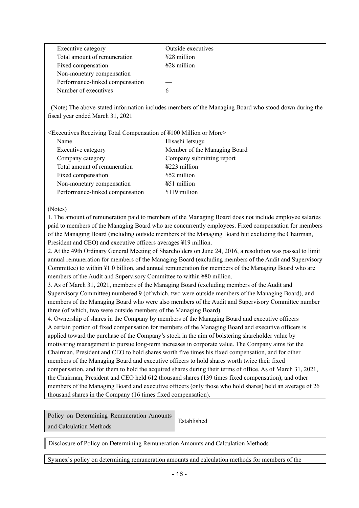| Executive category              | Outside executives      |
|---------------------------------|-------------------------|
| Total amount of remuneration    | $\frac{128}{2}$ million |
| Fixed compensation              | $\text{\#28}$ million   |
| Non-monetary compensation       |                         |
| Performance-linked compensation |                         |
| Number of executives            | h                       |
|                                 |                         |

 (Note) The above-stated information includes members of the Managing Board who stood down during the fiscal year ended March 31, 2021

<Executives Receiving Total Compensation of ¥100 Million or More>

| Name                            | Hisashi Ietsugu              |
|---------------------------------|------------------------------|
| Executive category              | Member of the Managing Board |
| Company category                | Company submitting report    |
| Total amount of remuneration    | ¥223 million                 |
| Fixed compensation              | ¥52 million                  |
| Non-monetary compensation       | $\text{\#51}$ million        |
| Performance-linked compensation | $4119$ million               |

#### (Notes)

1. The amount of remuneration paid to members of the Managing Board does not include employee salaries paid to members of the Managing Board who are concurrently employees. Fixed compensation for members of the Managing Board (including outside members of the Managing Board but excluding the Chairman, President and CEO) and executive officers averages ¥19 million.

2. At the 49th Ordinary General Meeting of Shareholders on June 24, 2016, a resolution was passed to limit annual remuneration for members of the Managing Board (excluding members of the Audit and Supervisory Committee) to within ¥1.0 billion, and annual remuneration for members of the Managing Board who are members of the Audit and Supervisory Committee to within ¥80 million.

3. As of March 31, 2021, members of the Managing Board (excluding members of the Audit and Supervisory Committee) numbered 9 (of which, two were outside members of the Managing Board), and members of the Managing Board who were also members of the Audit and Supervisory Committee number three (of which, two were outside members of the Managing Board).

4. Ownership of shares in the Company by members of the Managing Board and executive officers A certain portion of fixed compensation for members of the Managing Board and executive officers is applied toward the purchase of the Company's stock in the aim of bolstering shareholder value by motivating management to pursue long-term increases in corporate value. The Company aims for the Chairman, President and CEO to hold shares worth five times his fixed compensation, and for other members of the Managing Board and executive officers to hold shares worth twice their fixed compensation, and for them to hold the acquired shares during their terms of office. As of March 31, 2021, the Chairman, President and CEO held 612 thousand shares (139 times fixed compensation), and other members of the Managing Board and executive officers (only those who hold shares) held an average of 26 thousand shares in the Company (16 times fixed compensation).

| Policy on Determining Remuneration Amounts | Established |
|--------------------------------------------|-------------|
| and Calculation Methods                    |             |

Disclosure of Policy on Determining Remuneration Amounts and Calculation Methods

Sysmex's policy on determining remuneration amounts and calculation methods for members of the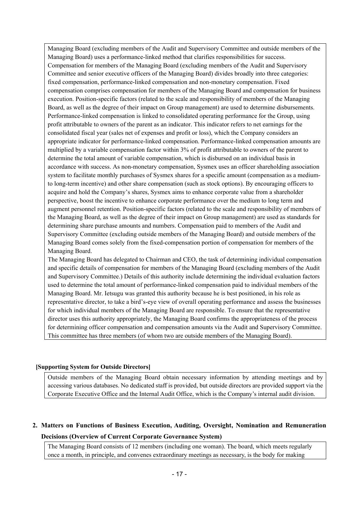Managing Board (excluding members of the Audit and Supervisory Committee and outside members of the Managing Board) uses a performance-linked method that clarifies responsibilities for success. Compensation for members of the Managing Board (excluding members of the Audit and Supervisory Committee and senior executive officers of the Managing Board) divides broadly into three categories: fixed compensation, performance-linked compensation and non-monetary compensation. Fixed compensation comprises compensation for members of the Managing Board and compensation for business execution. Position-specific factors (related to the scale and responsibility of members of the Managing Board, as well as the degree of their impact on Group management) are used to determine disbursements. Performance-linked compensation is linked to consolidated operating performance for the Group, using profit attributable to owners of the parent as an indicator. This indicator refers to net earnings for the consolidated fiscal year (sales net of expenses and profit or loss), which the Company considers an appropriate indicator for performance-linked compensation. Performance-linked compensation amounts are multiplied by a variable compensation factor within 3% of profit attributable to owners of the parent to determine the total amount of variable compensation, which is disbursed on an individual basis in accordance with success. As non-monetary compensation, Sysmex uses an officer shareholding association system to facilitate monthly purchases of Sysmex shares for a specific amount (compensation as a mediumto long-term incentive) and other share compensation (such as stock options). By encouraging officers to acquire and hold the Company's shares, Sysmex aims to enhance corporate value from a shareholder perspective, boost the incentive to enhance corporate performance over the medium to long term and augment personnel retention. Position-specific factors (related to the scale and responsibility of members of the Managing Board, as well as the degree of their impact on Group management) are used as standards for determining share purchase amounts and numbers. Compensation paid to members of the Audit and Supervisory Committee (excluding outside members of the Managing Board) and outside members of the Managing Board comes solely from the fixed-compensation portion of compensation for members of the Managing Board.

The Managing Board has delegated to Chairman and CEO, the task of determining individual compensation and specific details of compensation for members of the Managing Board (excluding members of the Audit and Supervisory Committee.) Details of this authority include determining the individual evaluation factors used to determine the total amount of performance-linked compensation paid to individual members of the Managing Board. Mr. Ietsugu was granted this authority because he is best positioned, in his role as representative director, to take a bird's-eye view of overall operating performance and assess the businesses for which individual members of the Managing Board are responsible. To ensure that the representative director uses this authority appropriately, the Managing Board confirms the appropriateness of the process for determining officer compensation and compensation amounts via the Audit and Supervisory Committee. This committee has three members (of whom two are outside members of the Managing Board).

#### **[Supporting System for Outside Directors]**

Outside members of the Managing Board obtain necessary information by attending meetings and by accessing various databases. No dedicated staff is provided, but outside directors are provided support via the Corporate Executive Office and the Internal Audit Office, which is the Company's internal audit division.

### **2. Matters on Functions of Business Execution, Auditing, Oversight, Nomination and Remuneration Decisions (Overview of Current Corporate Governance System)**

The Managing Board consists of 12 members (including one woman). The board, which meets regularly once a month, in principle, and convenes extraordinary meetings as necessary, is the body for making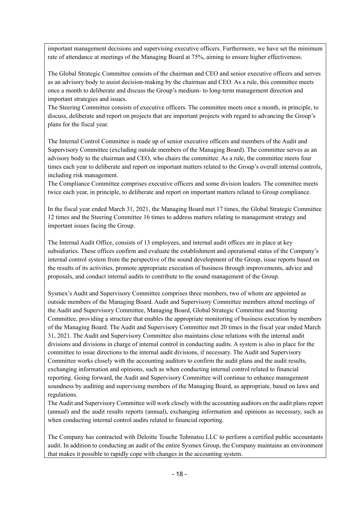important management decisions and supervising executive officers. Furthermore, we have set the minimum rate of attendance at meetings of the Managing Board at 75%, aiming to ensure higher effectiveness.

The Global Strategic Committee consists of the chairman and CEO and senior executive officers and serves as an advisory body to assist decision-making by the chairman and CEO. As a rule, this committee meets once a month to deliberate and discuss the Group's medium- to long-term management direction and important strategies and issues.

The Steering Committee consists of executive officers. The committee meets once a month, in principle, to discuss, deliberate and report on projects that are important projects with regard to advancing the Group's plans for the fiscal year.

The Internal Control Committee is made up of senior executive officers and members of the Audit and Supervisory Committee (excluding outside members of the Managing Board). The committee serves as an advisory body to the chairman and CEO, who chairs the committee. As a rule, the committee meets four times each year to deliberate and report on important matters related to the Group's overall internal controls, including risk management.

The Compliance Committee comprises executive officers and some division leaders. The committee meets twice each year, in principle, to deliberate and report on important matters related to Group compliance.

In the fiscal year ended March 31, 2021, the Managing Board met 17 times, the Global Strategic Committee 12 times and the Steering Committee 16 times to address matters relating to management strategy and important issues facing the Group.

The Internal Audit Office, consists of 13 employees, and internal audit offices are in place at key subsidiaries. These offices confirm and evaluate the establishment and operational status of the Company's internal control system from the perspective of the sound development of the Group, issue reports based on the results of its activities, promote appropriate execution of business through improvements, advice and proposals, and conduct internal audits to contribute to the sound management of the Group.

Sysmex's Audit and Supervisory Committee comprises three members, two of whom are appointed as outside members of the Managing Board. Audit and Supervisory Committee members attend meetings of the Audit and Supervisory Committee, Managing Board, Global Strategic Committee and Steering Committee, providing a structure that enables the appropriate monitoring of business execution by members of the Managing Board. The Audit and Supervisory Committee met 20 times in the fiscal year ended March 31, 2021. The Audit and Supervisory Committee also maintains close relations with the internal audit divisions and divisions in charge of internal control in conducting audits. A system is also in place for the committee to issue directions to the internal audit divisions, if necessary. The Audit and Supervisory Committee works closely with the accounting auditors to confirm the audit plans and the audit results, exchanging information and opinions, such as when conducting internal control related to financial reporting. Going forward, the Audit and Supervisory Committee will continue to enhance management soundness by auditing and supervising members of the Managing Board, as appropriate, based on laws and regulations.

The Audit and Supervisory Committee will work closely with the accounting auditors on the audit plans report (annual) and the audit results reports (annual), exchanging information and opinions as necessary, such as when conducting internal control audits related to financial reporting.

The Company has contracted with Deloitte Touche Tohmatsu LLC to perform a certified public accountants audit. In addition to conducting an audit of the entire Sysmex Group, the Company maintains an environment that makes it possible to rapidly cope with changes in the accounting system.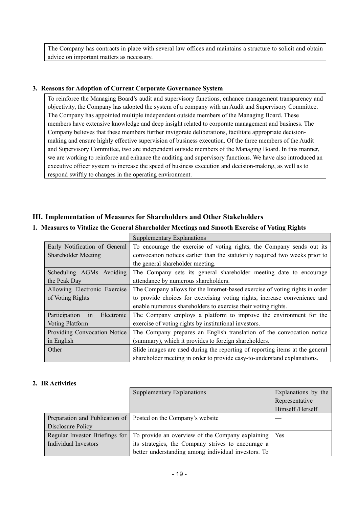The Company has contracts in place with several law offices and maintains a structure to solicit and obtain advice on important matters as necessary.

#### **3. Reasons for Adoption of Current Corporate Governance System**

To reinforce the Managing Board's audit and supervisory functions, enhance management transparency and objectivity, the Company has adopted the system of a company with an Audit and Supervisory Committee. The Company has appointed multiple independent outside members of the Managing Board. These members have extensive knowledge and deep insight related to corporate management and business. The Company believes that these members further invigorate deliberations, facilitate appropriate decisionmaking and ensure highly effective supervision of business execution. Of the three members of the Audit and Supervisory Committee, two are independent outside members of the Managing Board. In this manner, we are working to reinforce and enhance the auditing and supervisory functions. We have also introduced an executive officer system to increase the speed of business execution and decision-making, as well as to respond swiftly to changes in the operating environment.

### **III. Implementation of Measures for Shareholders and Other Stakeholders**

#### **1. Measures to Vitalize the General Shareholder Meetings and Smooth Exercise of Voting Rights**

|                                   | Supplementary Explanations                                                   |
|-----------------------------------|------------------------------------------------------------------------------|
| Early Notification of General     | To encourage the exercise of voting rights, the Company sends out its        |
| Shareholder Meeting               | convocation notices earlier than the statutorily required two weeks prior to |
|                                   | the general shareholder meeting.                                             |
| Scheduling AGMs Avoiding          | The Company sets its general shareholder meeting date to encourage           |
| the Peak Day                      | attendance by numerous shareholders.                                         |
| Allowing Electronic Exercise      | The Company allows for the Internet-based exercise of voting rights in order |
| of Voting Rights                  | to provide choices for exercising voting rights, increase convenience and    |
|                                   | enable numerous shareholders to exercise their voting rights.                |
| Participation<br>in<br>Electronic | The Company employs a platform to improve the environment for the            |
| <b>Voting Platform</b>            | exercise of voting rights by institutional investors.                        |
| Providing Convocation Notice      | The Company prepares an English translation of the convocation notice        |
| in English                        | (summary), which it provides to foreign shareholders.                        |
| Other                             | Slide images are used during the reporting of reporting items at the general |
|                                   | shareholder meeting in order to provide easy-to-understand explanations.     |

#### **2. IR Activities**

|                                | <b>Supplementary Explanations</b>                                | Explanations by the |
|--------------------------------|------------------------------------------------------------------|---------------------|
|                                |                                                                  | Representative      |
|                                |                                                                  | Himself /Herself    |
|                                | Preparation and Publication of   Posted on the Company's website |                     |
| Disclosure Policy              |                                                                  |                     |
| Regular Investor Briefings for | To provide an overview of the Company explaining                 | <b>Yes</b>          |
| Individual Investors           | its strategies, the Company strives to encourage a               |                     |
|                                | better understanding among individual investors. To              |                     |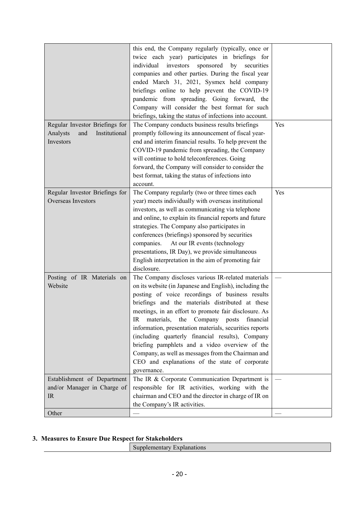|                                  | this end, the Company regularly (typically, once or      |     |
|----------------------------------|----------------------------------------------------------|-----|
|                                  | twice each year) participates in briefings for           |     |
|                                  | individual<br>investors<br>sponsored<br>by<br>securities |     |
|                                  | companies and other parties. During the fiscal year      |     |
|                                  | ended March 31, 2021, Sysmex held company                |     |
|                                  | briefings online to help prevent the COVID-19            |     |
|                                  | pandemic from spreading. Going forward, the              |     |
|                                  | Company will consider the best format for such           |     |
|                                  | briefings, taking the status of infections into account. |     |
| Regular Investor Briefings for   | The Company conducts business results briefings          | Yes |
| Institutional<br>Analysts<br>and | promptly following its announcement of fiscal year-      |     |
| Investors                        | end and interim financial results. To help prevent the   |     |
|                                  | COVID-19 pandemic from spreading, the Company            |     |
|                                  | will continue to hold teleconferences. Going             |     |
|                                  | forward, the Company will consider to consider the       |     |
|                                  | best format, taking the status of infections into        |     |
|                                  | account.                                                 |     |
| Regular Investor Briefings for   | The Company regularly (two or three times each           | Yes |
| <b>Overseas Investors</b>        | year) meets individually with overseas institutional     |     |
|                                  | investors, as well as communicating via telephone        |     |
|                                  | and online, to explain its financial reports and future  |     |
|                                  | strategies. The Company also participates in             |     |
|                                  | conferences (briefings) sponsored by securities          |     |
|                                  | companies.<br>At our IR events (technology               |     |
|                                  | presentations, IR Day), we provide simultaneous          |     |
|                                  | English interpretation in the aim of promoting fair      |     |
|                                  | disclosure.                                              |     |
| Posting of IR Materials on       | The Company discloses various IR-related materials       |     |
| Website                          | on its website (in Japanese and English), including the  |     |
|                                  | posting of voice recordings of business results          |     |
|                                  | briefings and the materials distributed at these         |     |
|                                  | meetings, in an effort to promote fair disclosure. As    |     |
|                                  | materials, the Company posts financial<br>IR             |     |
|                                  | information, presentation materials, securities reports  |     |
|                                  | (including quarterly financial results), Company         |     |
|                                  | briefing pamphlets and a video overview of the           |     |
|                                  | Company, as well as messages from the Chairman and       |     |
|                                  | CEO and explanations of the state of corporate           |     |
|                                  | governance.                                              |     |
| Establishment of Department      | The IR & Corporate Communication Department is           |     |
| and/or Manager in Charge of      | responsible for IR activities, working with the          |     |
| IR                               | chairman and CEO and the director in charge of IR on     |     |
|                                  | the Company's IR activities.                             |     |
| Other                            |                                                          |     |
|                                  |                                                          |     |

#### **3. Measures to Ensure Due Respect for Stakeholders**

| .                        |
|--------------------------|
| $-112$<br>-ш.<br>$\cdot$ |
|                          |
|                          |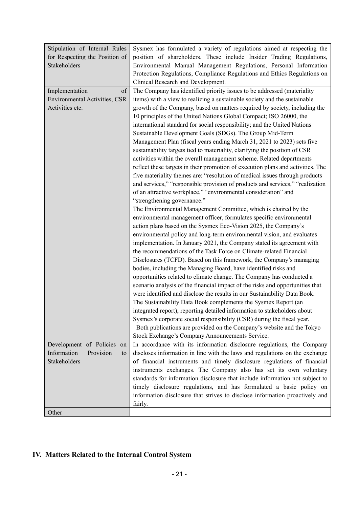| Stipulation of Internal Rules  | Sysmex has formulated a variety of regulations aimed at respecting the                                                                       |  |
|--------------------------------|----------------------------------------------------------------------------------------------------------------------------------------------|--|
| for Respecting the Position of | position of shareholders. These include Insider Trading Regulations,                                                                         |  |
| <b>Stakeholders</b>            | Environmental Manual Management Regulations, Personal Information                                                                            |  |
|                                | Protection Regulations, Compliance Regulations and Ethics Regulations on                                                                     |  |
|                                | Clinical Research and Development.                                                                                                           |  |
| Implementation<br>of           | The Company has identified priority issues to be addressed (materiality                                                                      |  |
| Environmental Activities, CSR  | items) with a view to realizing a sustainable society and the sustainable                                                                    |  |
| Activities etc.                | growth of the Company, based on matters required by society, including the                                                                   |  |
|                                | 10 principles of the United Nations Global Compact; ISO 26000, the                                                                           |  |
|                                | international standard for social responsibility; and the United Nations                                                                     |  |
|                                | Sustainable Development Goals (SDGs). The Group Mid-Term                                                                                     |  |
|                                | Management Plan (fiscal years ending March 31, 2021 to 2023) sets five                                                                       |  |
|                                | sustainability targets tied to materiality, clarifying the position of CSR                                                                   |  |
|                                | activities within the overall management scheme. Related departments                                                                         |  |
|                                | reflect these targets in their promotion of execution plans and activities. The                                                              |  |
|                                | five materiality themes are: "resolution of medical issues through products                                                                  |  |
|                                | and services," "responsible provision of products and services," "realization                                                                |  |
|                                | of an attractive workplace," "environmental consideration" and                                                                               |  |
|                                | "strengthening governance."                                                                                                                  |  |
|                                | The Environmental Management Committee, which is chaired by the                                                                              |  |
|                                | environmental management officer, formulates specific environmental                                                                          |  |
|                                | action plans based on the Sysmex Eco-Vision 2025, the Company's                                                                              |  |
|                                | environmental policy and long-term environmental vision, and evaluates                                                                       |  |
|                                | implementation. In January 2021, the Company stated its agreement with                                                                       |  |
|                                | the recommendations of the Task Force on Climate-related Financial                                                                           |  |
|                                | Disclosures (TCFD). Based on this framework, the Company's managing                                                                          |  |
|                                | bodies, including the Managing Board, have identified risks and                                                                              |  |
|                                | opportunities related to climate change. The Company has conducted a                                                                         |  |
|                                | scenario analysis of the financial impact of the risks and opportunities that                                                                |  |
|                                | were identified and disclose the results in our Sustainability Data Book.                                                                    |  |
|                                | The Sustainability Data Book complements the Sysmex Report (an                                                                               |  |
|                                | integrated report), reporting detailed information to stakeholders about                                                                     |  |
|                                | Sysmex's corporate social responsibility (CSR) during the fiscal year.                                                                       |  |
|                                | Both publications are provided on the Company's website and the Tokyo                                                                        |  |
|                                | Stock Exchange's Company Announcements Service.                                                                                              |  |
| Development of Policies<br>on  | In accordance with its information disclosure regulations, the Company                                                                       |  |
| Information<br>Provision<br>to | discloses information in line with the laws and regulations on the exchange                                                                  |  |
| Stakeholders                   | of financial instruments and timely disclosure regulations of financial<br>instruments exchanges. The Company also has set its own voluntary |  |
|                                | standards for information disclosure that include information not subject to                                                                 |  |
|                                | timely disclosure regulations, and has formulated a basic policy on                                                                          |  |
|                                | information disclosure that strives to disclose information proactively and                                                                  |  |
|                                | fairly.                                                                                                                                      |  |
| Other                          |                                                                                                                                              |  |
|                                |                                                                                                                                              |  |

# **IV. Matters Related to the Internal Control System**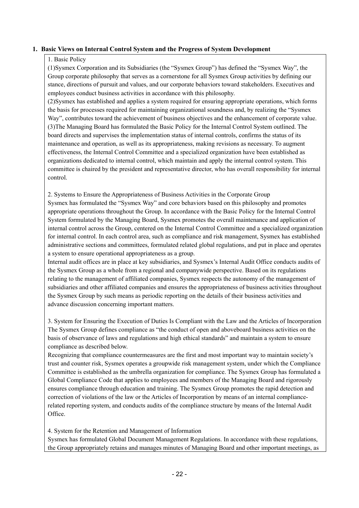#### **1. Basic Views on Internal Control System and the Progress of System Development**

#### 1. Basic Policy

(1)Sysmex Corporation and its Subsidiaries (the "Sysmex Group") has defined the "Sysmex Way", the Group corporate philosophy that serves as a cornerstone for all Sysmex Group activities by defining our stance, directions of pursuit and values, and our corporate behaviors toward stakeholders. Executives and employees conduct business activities in accordance with this philosophy.

(2)Sysmex has established and applies a system required for ensuring appropriate operations, which forms the basis for processes required for maintaining organizational soundness and, by realizing the "Sysmex Way", contributes toward the achievement of business objectives and the enhancement of corporate value. (3)The Managing Board has formulated the Basic Policy for the Internal Control System outlined. The board directs and supervises the implementation status of internal controls, confirms the status of its maintenance and operation, as well as its appropriateness, making revisions as necessary. To augment effectiveness, the Internal Control Committee and a specialized organization have been established as organizations dedicated to internal control, which maintain and apply the internal control system. This committee is chaired by the president and representative director, who has overall responsibility for internal control.

2. Systems to Ensure the Appropriateness of Business Activities in the Corporate Group Sysmex has formulated the "Sysmex Way" and core behaviors based on this philosophy and promotes appropriate operations throughout the Group. In accordance with the Basic Policy for the Internal Control System formulated by the Managing Board, Sysmex promotes the overall maintenance and application of internal control across the Group, centered on the Internal Control Committee and a specialized organization for internal control. In each control area, such as compliance and risk management, Sysmex has established administrative sections and committees, formulated related global regulations, and put in place and operates a system to ensure operational appropriateness as a group.

Internal audit offices are in place at key subsidiaries, and Sysmex's Internal Audit Office conducts audits of the Sysmex Group as a whole from a regional and companywide perspective. Based on its regulations relating to the management of affiliated companies, Sysmex respects the autonomy of the management of subsidiaries and other affiliated companies and ensures the appropriateness of business activities throughout the Sysmex Group by such means as periodic reporting on the details of their business activities and advance discussion concerning important matters.

3. System for Ensuring the Execution of Duties Is Compliant with the Law and the Articles of Incorporation The Sysmex Group defines compliance as "the conduct of open and aboveboard business activities on the basis of observance of laws and regulations and high ethical standards" and maintain a system to ensure compliance as described below.

Recognizing that compliance countermeasures are the first and most important way to maintain society's trust and counter risk, Sysmex operates a groupwide risk management system, under which the Compliance Committee is established as the umbrella organization for compliance. The Sysmex Group has formulated a Global Compliance Code that applies to employees and members of the Managing Board and rigorously ensures compliance through education and training. The Sysmex Group promotes the rapid detection and correction of violations of the law or the Articles of Incorporation by means of an internal compliancerelated reporting system, and conducts audits of the compliance structure by means of the Internal Audit Office.

4. System for the Retention and Management of Information

Sysmex has formulated Global Document Management Regulations. In accordance with these regulations, the Group appropriately retains and manages minutes of Managing Board and other important meetings, as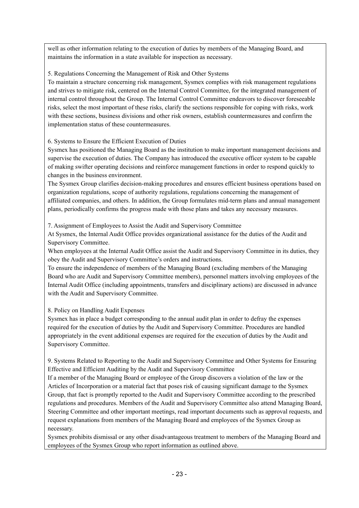well as other information relating to the execution of duties by members of the Managing Board, and maintains the information in a state available for inspection as necessary.

5. Regulations Concerning the Management of Risk and Other Systems

To maintain a structure concerning risk management, Sysmex complies with risk management regulations and strives to mitigate risk, centered on the Internal Control Committee, for the integrated management of internal control throughout the Group. The Internal Control Committee endeavors to discover foreseeable risks, select the most important of these risks, clarify the sections responsible for coping with risks, work with these sections, business divisions and other risk owners, establish countermeasures and confirm the implementation status of these countermeasures.

6. Systems to Ensure the Efficient Execution of Duties

Sysmex has positioned the Managing Board as the institution to make important management decisions and supervise the execution of duties. The Company has introduced the executive officer system to be capable of making swifter operating decisions and reinforce management functions in order to respond quickly to changes in the business environment.

The Sysmex Group clarifies decision-making procedures and ensures efficient business operations based on organization regulations, scope of authority regulations, regulations concerning the management of affiliated companies, and others. In addition, the Group formulates mid-term plans and annual management plans, periodically confirms the progress made with those plans and takes any necessary measures.

7. Assignment of Employees to Assist the Audit and Supervisory Committee

At Sysmex, the Internal Audit Office provides organizational assistance for the duties of the Audit and Supervisory Committee.

When employees at the Internal Audit Office assist the Audit and Supervisory Committee in its duties, they obey the Audit and Supervisory Committee's orders and instructions.

To ensure the independence of members of the Managing Board (excluding members of the Managing Board who are Audit and Supervisory Committee members), personnel matters involving employees of the Internal Audit Office (including appointments, transfers and disciplinary actions) are discussed in advance with the Audit and Supervisory Committee.

8. Policy on Handling Audit Expenses

Sysmex has in place a budget corresponding to the annual audit plan in order to defray the expenses required for the execution of duties by the Audit and Supervisory Committee. Procedures are handled appropriately in the event additional expenses are required for the execution of duties by the Audit and Supervisory Committee.

9. Systems Related to Reporting to the Audit and Supervisory Committee and Other Systems for Ensuring Effective and Efficient Auditing by the Audit and Supervisory Committee

If a member of the Managing Board or employee of the Group discovers a violation of the law or the Articles of Incorporation or a material fact that poses risk of causing significant damage to the Sysmex Group, that fact is promptly reported to the Audit and Supervisory Committee according to the prescribed regulations and procedures. Members of the Audit and Supervisory Committee also attend Managing Board, Steering Committee and other important meetings, read important documents such as approval requests, and request explanations from members of the Managing Board and employees of the Sysmex Group as necessary.

Sysmex prohibits dismissal or any other disadvantageous treatment to members of the Managing Board and employees of the Sysmex Group who report information as outlined above.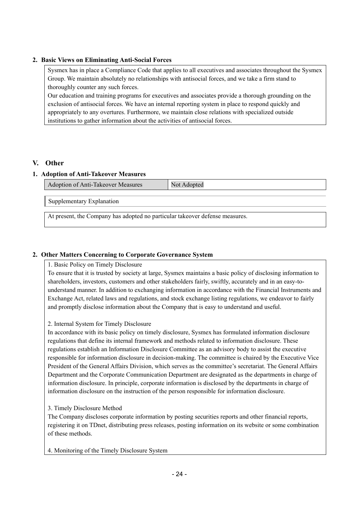#### **2. Basic Views on Eliminating Anti-Social Forces**

Sysmex has in place a Compliance Code that applies to all executives and associates throughout the Sysmex Group. We maintain absolutely no relationships with antisocial forces, and we take a firm stand to thoroughly counter any such forces.

Our education and training programs for executives and associates provide a thorough grounding on the exclusion of antisocial forces. We have an internal reporting system in place to respond quickly and appropriately to any overtures. Furthermore, we maintain close relations with specialized outside institutions to gather information about the activities of antisocial forces.

#### **V. Other**

#### **1. Adoption of Anti-Takeover Measures**

Adoption of Anti-Takeover Measures Not Adopted

Supplementary Explanation

At present, the Company has adopted no particular takeover defense measures.

#### **2. Other Matters Concerning to Corporate Governance System**

1. Basic Policy on Timely Disclosure

To ensure that it is trusted by society at large, Sysmex maintains a basic policy of disclosing information to shareholders, investors, customers and other stakeholders fairly, swiftly, accurately and in an easy-tounderstand manner. In addition to exchanging information in accordance with the Financial Instruments and Exchange Act, related laws and regulations, and stock exchange listing regulations, we endeavor to fairly and promptly disclose information about the Company that is easy to understand and useful.

#### 2. Internal System for Timely Disclosure

In accordance with its basic policy on timely disclosure, Sysmex has formulated information disclosure regulations that define its internal framework and methods related to information disclosure. These regulations establish an Information Disclosure Committee as an advisory body to assist the executive responsible for information disclosure in decision-making. The committee is chaired by the Executive Vice President of the General Affairs Division, which serves as the committee's secretariat. The General Affairs Department and the Corporate Communication Department are designated as the departments in charge of information disclosure. In principle, corporate information is disclosed by the departments in charge of information disclosure on the instruction of the person responsible for information disclosure.

#### 3. Timely Disclosure Method

The Company discloses corporate information by posting securities reports and other financial reports, registering it on TDnet, distributing press releases, posting information on its website or some combination of these methods.

4. Monitoring of the Timely Disclosure System